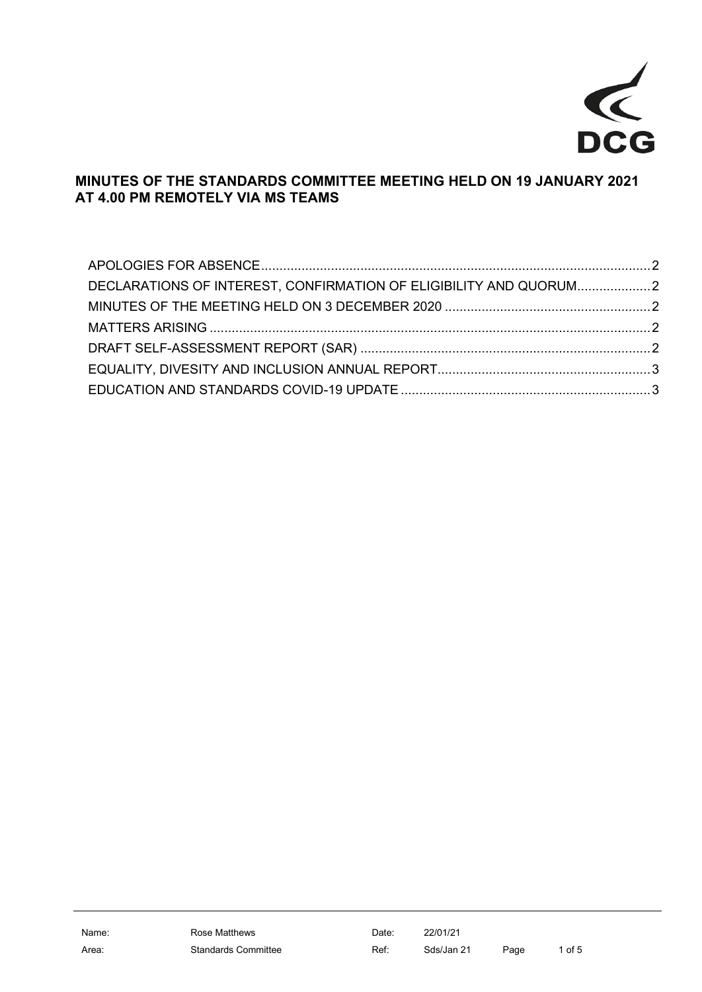

# **MINUTES OF THE STANDARDS COMMITTEE MEETING HELD ON 19 JANUARY 2021 AT 4.00 PM REMOTELY VIA MS TEAMS**

| DECLARATIONS OF INTEREST, CONFIRMATION OF ELIGIBILITY AND QUORUM2 |  |
|-------------------------------------------------------------------|--|
|                                                                   |  |
|                                                                   |  |
|                                                                   |  |
|                                                                   |  |
|                                                                   |  |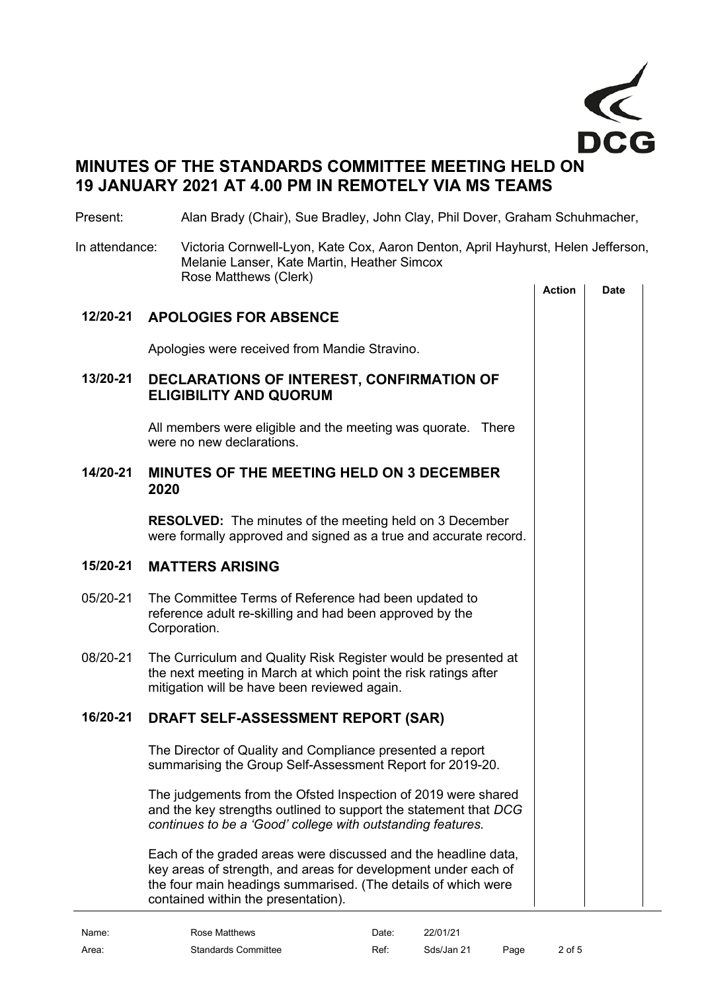

# **MINUTES OF THE STANDARDS COMMITTEE MEETING HELD ON 19 JANUARY 2021 AT 4.00 PM IN REMOTELY VIA MS TEAMS**

## Present: Alan Brady (Chair), Sue Bradley, John Clay, Phil Dover, Graham Schuhmacher,

In attendance: Victoria Cornwell-Lyon, Kate Cox, Aaron Denton, April Hayhurst, Helen Jefferson, Melanie Lanser, Kate Martin, Heather Simcox Rose Matthews (Clerk)

<span id="page-1-4"></span><span id="page-1-3"></span><span id="page-1-2"></span><span id="page-1-1"></span><span id="page-1-0"></span>

|          |                                                                                                                                                                                                                                          | <b>Action</b> | <b>Date</b> |  |
|----------|------------------------------------------------------------------------------------------------------------------------------------------------------------------------------------------------------------------------------------------|---------------|-------------|--|
| 12/20-21 | <b>APOLOGIES FOR ABSENCE</b>                                                                                                                                                                                                             |               |             |  |
|          | Apologies were received from Mandie Stravino.                                                                                                                                                                                            |               |             |  |
| 13/20-21 | DECLARATIONS OF INTEREST, CONFIRMATION OF<br><b>ELIGIBILITY AND QUORUM</b>                                                                                                                                                               |               |             |  |
|          | All members were eligible and the meeting was quorate. There<br>were no new declarations.                                                                                                                                                |               |             |  |
| 14/20-21 | <b>MINUTES OF THE MEETING HELD ON 3 DECEMBER</b><br>2020                                                                                                                                                                                 |               |             |  |
|          | <b>RESOLVED:</b> The minutes of the meeting held on 3 December<br>were formally approved and signed as a true and accurate record.                                                                                                       |               |             |  |
| 15/20-21 | <b>MATTERS ARISING</b>                                                                                                                                                                                                                   |               |             |  |
| 05/20-21 | The Committee Terms of Reference had been updated to<br>reference adult re-skilling and had been approved by the<br>Corporation.                                                                                                         |               |             |  |
| 08/20-21 | The Curriculum and Quality Risk Register would be presented at<br>the next meeting in March at which point the risk ratings after<br>mitigation will be have been reviewed again.                                                        |               |             |  |
| 16/20-21 | DRAFT SELF-ASSESSMENT REPORT (SAR)                                                                                                                                                                                                       |               |             |  |
|          | The Director of Quality and Compliance presented a report<br>summarising the Group Self-Assessment Report for 2019-20.                                                                                                                   |               |             |  |
|          | The judgements from the Ofsted Inspection of 2019 were shared<br>and the key strengths outlined to support the statement that DCG<br>continues to be a 'Good' college with outstanding features.                                         |               |             |  |
|          | Each of the graded areas were discussed and the headline data,<br>key areas of strength, and areas for development under each of<br>the four main headings summarised. (The details of which were<br>contained within the presentation). |               |             |  |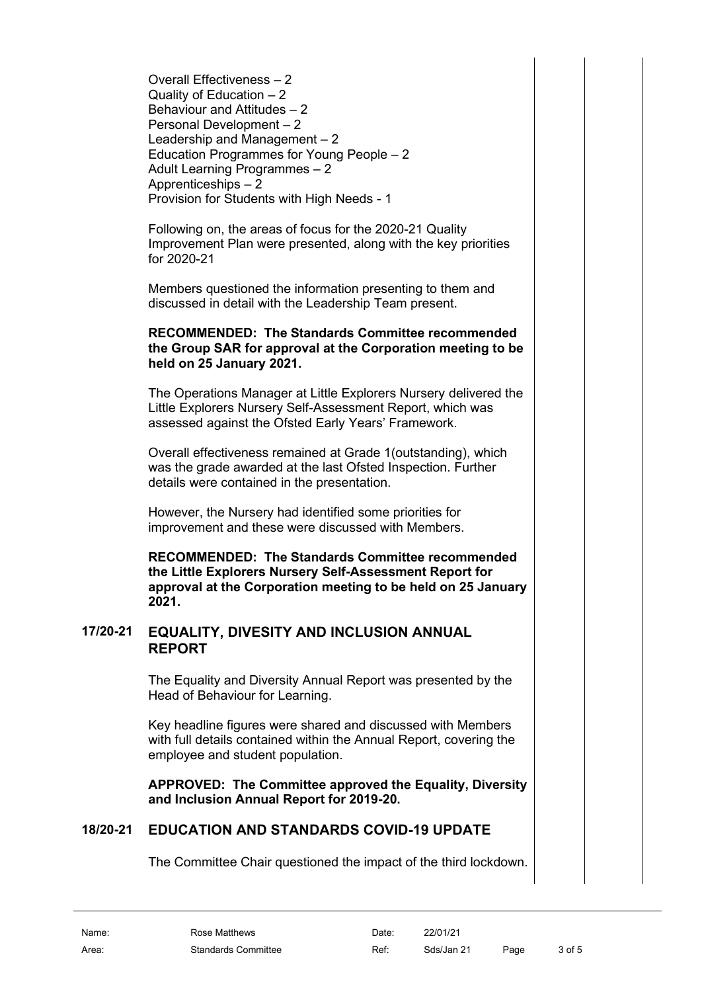Overall Effectiveness – 2 Quality of Education – 2 Behaviour and Attitudes – 2 Personal Development – 2 Leadership and Management – 2 Education Programmes for Young People – 2 Adult Learning Programmes – 2 Apprenticeships – 2 Provision for Students with High Needs - 1

Following on, the areas of focus for the 2020-21 Quality Improvement Plan were presented, along with the key priorities for 2020-21

Members questioned the information presenting to them and discussed in detail with the Leadership Team present.

#### **RECOMMENDED: The Standards Committee recommended the Group SAR for approval at the Corporation meeting to be held on 25 January 2021.**

The Operations Manager at Little Explorers Nursery delivered the Little Explorers Nursery Self-Assessment Report, which was assessed against the Ofsted Early Years' Framework.

Overall effectiveness remained at Grade 1(outstanding), which was the grade awarded at the last Ofsted Inspection. Further details were contained in the presentation.

However, the Nursery had identified some priorities for improvement and these were discussed with Members.

**RECOMMENDED: The Standards Committee recommended the Little Explorers Nursery Self-Assessment Report for approval at the Corporation meeting to be held on 25 January 2021.**

### **17/20-21 EQUALITY, DIVESITY AND INCLUSION ANNUAL REPORT**

<span id="page-2-0"></span>The Equality and Diversity Annual Report was presented by the Head of Behaviour for Learning.

Key headline figures were shared and discussed with Members with full details contained within the Annual Report, covering the employee and student population.

**APPROVED: The Committee approved the Equality, Diversity and Inclusion Annual Report for 2019-20.**

# **18/20-21 EDUCATION AND STANDARDS COVID-19 UPDATE**

<span id="page-2-1"></span>The Committee Chair questioned the impact of the third lockdown.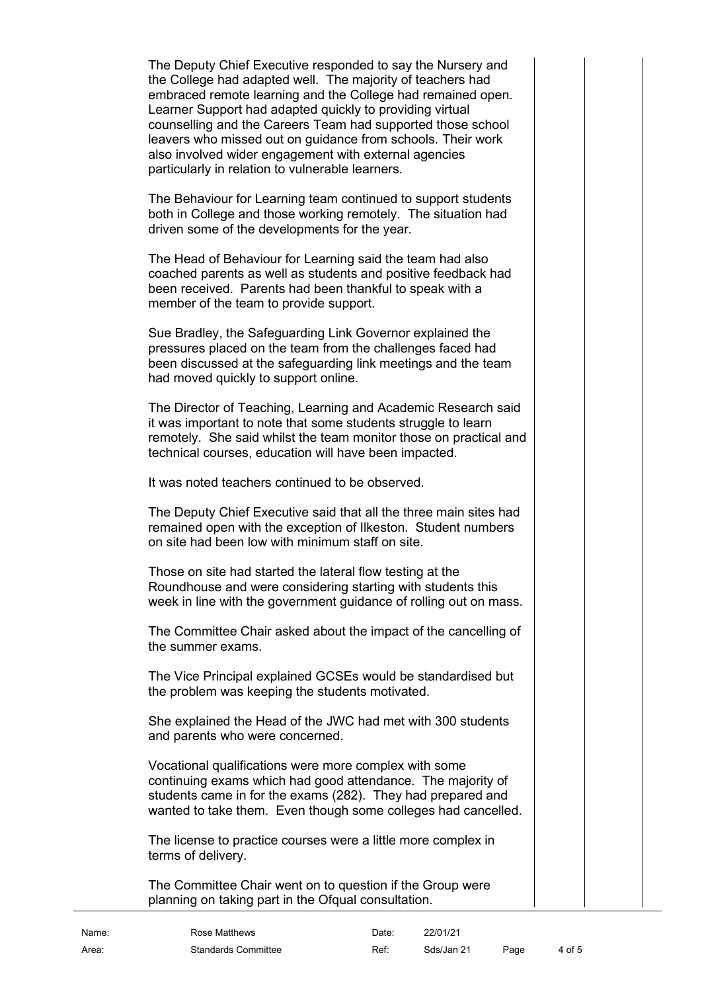The Deputy Chief Executive responded to say the Nursery and the College had adapted well. The majority of teachers had embraced remote learning and the College had remained open. Learner Support had adapted quickly to providing virtual counselling and the Careers Team had supported those school leavers who missed out on guidance from schools. Their work also involved wider engagement with external agencies particularly in relation to vulnerable learners.

The Behaviour for Learning team continued to support students both in College and those working remotely. The situation had driven some of the developments for the year.

The Head of Behaviour for Learning said the team had also coached parents as well as students and positive feedback had been received. Parents had been thankful to speak with a member of the team to provide support.

Sue Bradley, the Safeguarding Link Governor explained the pressures placed on the team from the challenges faced had been discussed at the safeguarding link meetings and the team had moved quickly to support online.

The Director of Teaching, Learning and Academic Research said it was important to note that some students struggle to learn remotely. She said whilst the team monitor those on practical and technical courses, education will have been impacted.

It was noted teachers continued to be observed.

The Deputy Chief Executive said that all the three main sites had remained open with the exception of Ilkeston. Student numbers on site had been low with minimum staff on site.

Those on site had started the lateral flow testing at the Roundhouse and were considering starting with students this week in line with the government guidance of rolling out on mass.

The Committee Chair asked about the impact of the cancelling of the summer exams.

The Vice Principal explained GCSEs would be standardised but the problem was keeping the students motivated.

She explained the Head of the JWC had met with 300 students and parents who were concerned.

Vocational qualifications were more complex with some continuing exams which had good attendance. The majority of students came in for the exams (282). They had prepared and wanted to take them. Even though some colleges had cancelled.

The license to practice courses were a little more complex in terms of delivery.

The Committee Chair went on to question if the Group were planning on taking part in the Ofqual consultation.